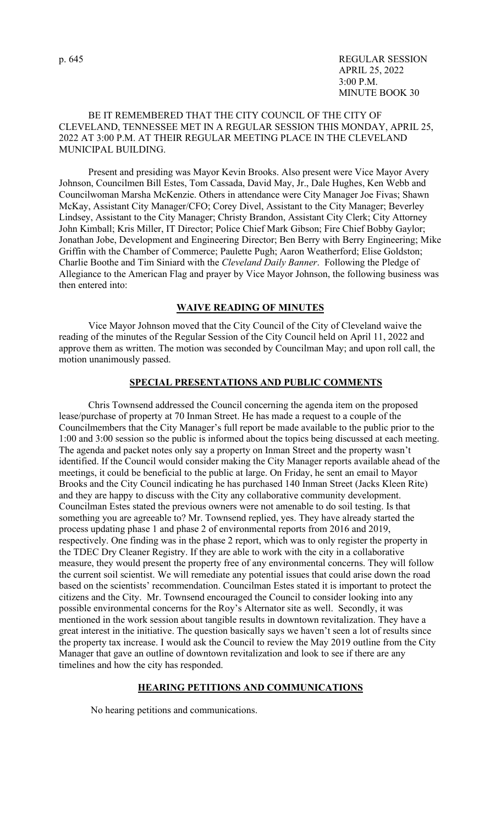### BE IT REMEMBERED THAT THE CITY COUNCIL OF THE CITY OF CLEVELAND, TENNESSEE MET IN A REGULAR SESSION THIS MONDAY, APRIL 25, 2022 AT 3:00 P.M. AT THEIR REGULAR MEETING PLACE IN THE CLEVELAND MUNICIPAL BUILDING.

 Present and presiding was Mayor Kevin Brooks. Also present were Vice Mayor Avery Johnson, Councilmen Bill Estes, Tom Cassada, David May, Jr., Dale Hughes, Ken Webb and Councilwoman Marsha McKenzie. Others in attendance were City Manager Joe Fivas; Shawn McKay, Assistant City Manager/CFO; Corey Divel, Assistant to the City Manager; Beverley Lindsey, Assistant to the City Manager; Christy Brandon, Assistant City Clerk; City Attorney John Kimball; Kris Miller, IT Director; Police Chief Mark Gibson; Fire Chief Bobby Gaylor; Jonathan Jobe, Development and Engineering Director; Ben Berry with Berry Engineering; Mike Griffin with the Chamber of Commerce; Paulette Pugh; Aaron Weatherford; Elise Goldston; Charlie Boothe and Tim Siniard with the *Cleveland Daily Banner*. Following the Pledge of Allegiance to the American Flag and prayer by Vice Mayor Johnson, the following business was then entered into:

### **WAIVE READING OF MINUTES**

Vice Mayor Johnson moved that the City Council of the City of Cleveland waive the reading of the minutes of the Regular Session of the City Council held on April 11, 2022 and approve them as written. The motion was seconded by Councilman May; and upon roll call, the motion unanimously passed.

### **SPECIAL PRESENTATIONS AND PUBLIC COMMENTS**

 Chris Townsend addressed the Council concerning the agenda item on the proposed lease/purchase of property at 70 Inman Street. He has made a request to a couple of the Councilmembers that the City Manager's full report be made available to the public prior to the 1:00 and 3:00 session so the public is informed about the topics being discussed at each meeting. The agenda and packet notes only say a property on Inman Street and the property wasn't identified. If the Council would consider making the City Manager reports available ahead of the meetings, it could be beneficial to the public at large. On Friday, he sent an email to Mayor Brooks and the City Council indicating he has purchased 140 Inman Street (Jacks Kleen Rite) and they are happy to discuss with the City any collaborative community development. Councilman Estes stated the previous owners were not amenable to do soil testing. Is that something you are agreeable to? Mr. Townsend replied, yes. They have already started the process updating phase 1 and phase 2 of environmental reports from 2016 and 2019, respectively. One finding was in the phase 2 report, which was to only register the property in the TDEC Dry Cleaner Registry. If they are able to work with the city in a collaborative measure, they would present the property free of any environmental concerns. They will follow the current soil scientist. We will remediate any potential issues that could arise down the road based on the scientists' recommendation. Councilman Estes stated it is important to protect the citizens and the City. Mr. Townsend encouraged the Council to consider looking into any possible environmental concerns for the Roy's Alternator site as well. Secondly, it was mentioned in the work session about tangible results in downtown revitalization. They have a great interest in the initiative. The question basically says we haven't seen a lot of results since the property tax increase. I would ask the Council to review the May 2019 outline from the City Manager that gave an outline of downtown revitalization and look to see if there are any timelines and how the city has responded.

### **HEARING PETITIONS AND COMMUNICATIONS**

No hearing petitions and communications.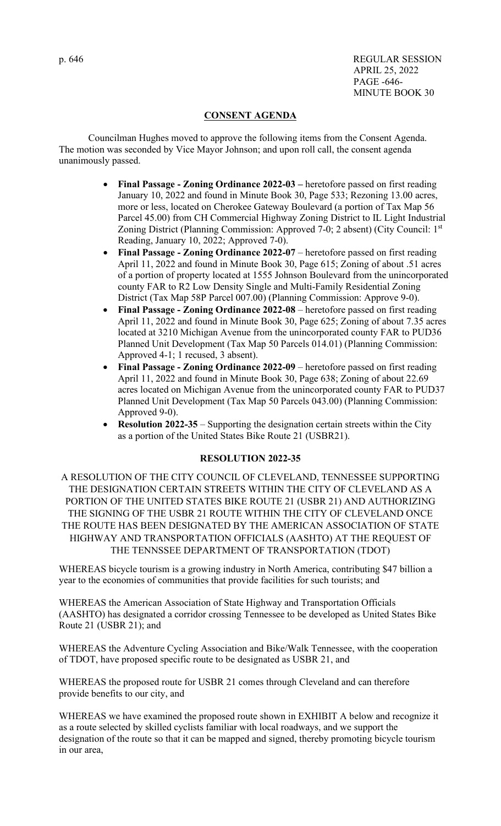p. 646 REGULAR SESSION APRIL 25, 2022 PAGE -646- MINUTE BOOK 30

## **CONSENT AGENDA**

 Councilman Hughes moved to approve the following items from the Consent Agenda. The motion was seconded by Vice Mayor Johnson; and upon roll call, the consent agenda unanimously passed.

- **Final Passage Zoning Ordinance 2022-03** heretofore passed on first reading January 10, 2022 and found in Minute Book 30, Page 533; Rezoning 13.00 acres, more or less, located on Cherokee Gateway Boulevard (a portion of Tax Map 56 Parcel 45.00) from CH Commercial Highway Zoning District to IL Light Industrial Zoning District (Planning Commission: Approved 7-0; 2 absent) (City Council: 1st Reading, January 10, 2022; Approved 7-0).
- **Final Passage Zoning Ordinance 2022-07** heretofore passed on first reading April 11, 2022 and found in Minute Book 30, Page 615; Zoning of about .51 acres of a portion of property located at 1555 Johnson Boulevard from the unincorporated county FAR to R2 Low Density Single and Multi-Family Residential Zoning District (Tax Map 58P Parcel 007.00) (Planning Commission: Approve 9-0).
- **Final Passage Zoning Ordinance 2022-08** heretofore passed on first reading April 11, 2022 and found in Minute Book 30, Page 625; Zoning of about 7.35 acres located at 3210 Michigan Avenue from the unincorporated county FAR to PUD36 Planned Unit Development (Tax Map 50 Parcels 014.01) (Planning Commission: Approved 4-1; 1 recused, 3 absent).
- **Final Passage Zoning Ordinance 2022-09**  heretofore passed on first reading April 11, 2022 and found in Minute Book 30, Page 638; Zoning of about 22.69 acres located on Michigan Avenue from the unincorporated county FAR to PUD37 Planned Unit Development (Tax Map 50 Parcels 043.00) (Planning Commission: Approved 9-0).
- **Resolution 2022-35** Supporting the designation certain streets within the City as a portion of the United States Bike Route 21 (USBR21).

### **RESOLUTION 2022-35**

A RESOLUTION OF THE CITY COUNCIL OF CLEVELAND, TENNESSEE SUPPORTING THE DESIGNATION CERTAIN STREETS WITHIN THE CITY OF CLEVELAND AS A PORTION OF THE UNITED STATES BIKE ROUTE 21 (USBR 21) AND AUTHORIZING THE SIGNING OF THE USBR 21 ROUTE WITHIN THE CITY OF CLEVELAND ONCE THE ROUTE HAS BEEN DESIGNATED BY THE AMERICAN ASSOCIATION OF STATE HIGHWAY AND TRANSPORTATION OFFICIALS (AASHTO) AT THE REQUEST OF THE TENNSSEE DEPARTMENT OF TRANSPORTATION (TDOT)

WHEREAS bicycle tourism is a growing industry in North America, contributing \$47 billion a year to the economies of communities that provide facilities for such tourists; and

WHEREAS the American Association of State Highway and Transportation Officials (AASHTO) has designated a corridor crossing Tennessee to be developed as United States Bike Route 21 (USBR 21); and

WHEREAS the Adventure Cycling Association and Bike/Walk Tennessee, with the cooperation of TDOT, have proposed specific route to be designated as USBR 21, and

WHEREAS the proposed route for USBR 21 comes through Cleveland and can therefore provide benefits to our city, and

WHEREAS we have examined the proposed route shown in EXHIBIT A below and recognize it as a route selected by skilled cyclists familiar with local roadways, and we support the designation of the route so that it can be mapped and signed, thereby promoting bicycle tourism in our area,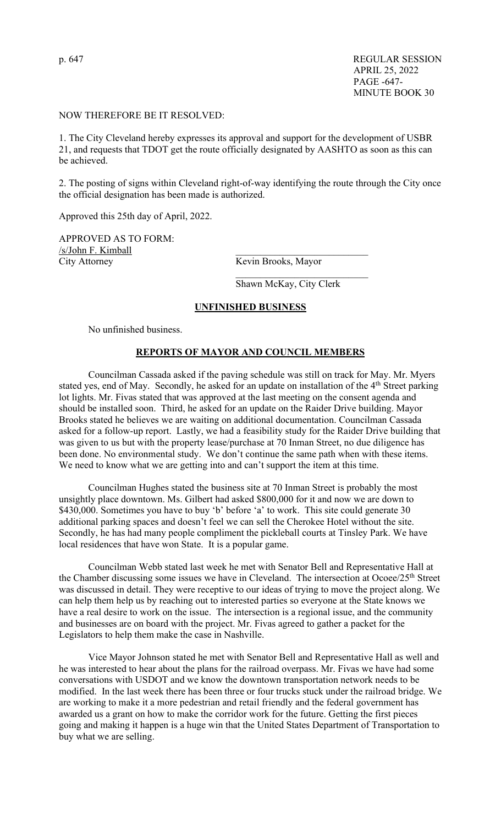#### NOW THEREFORE BE IT RESOLVED:

1. The City Cleveland hereby expresses its approval and support for the development of USBR 21, and requests that TDOT get the route officially designated by AASHTO as soon as this can be achieved.

2. The posting of signs within Cleveland right-of-way identifying the route through the City once the official designation has been made is authorized.

Approved this 25th day of April, 2022.

APPROVED AS TO FORM: /s/John F. Kimball City Attorney Kevin Brooks, Mayor

Shawn McKay, City Clerk

### **UNFINISHED BUSINESS**

 $\mathcal{L}_\text{max} = \mathcal{L}_\text{max} = \mathcal{L}_\text{max} = \mathcal{L}_\text{max} = \mathcal{L}_\text{max} = \mathcal{L}_\text{max} = \mathcal{L}_\text{max} = \mathcal{L}_\text{max} = \mathcal{L}_\text{max} = \mathcal{L}_\text{max} = \mathcal{L}_\text{max} = \mathcal{L}_\text{max} = \mathcal{L}_\text{max} = \mathcal{L}_\text{max} = \mathcal{L}_\text{max} = \mathcal{L}_\text{max} = \mathcal{L}_\text{max} = \mathcal{L}_\text{max} = \mathcal{$ 

No unfinished business.

#### **REPORTS OF MAYOR AND COUNCIL MEMBERS**

 Councilman Cassada asked if the paving schedule was still on track for May. Mr. Myers stated yes, end of May. Secondly, he asked for an update on installation of the  $4<sup>th</sup>$  Street parking lot lights. Mr. Fivas stated that was approved at the last meeting on the consent agenda and should be installed soon. Third, he asked for an update on the Raider Drive building. Mayor Brooks stated he believes we are waiting on additional documentation. Councilman Cassada asked for a follow-up report. Lastly, we had a feasibility study for the Raider Drive building that was given to us but with the property lease/purchase at 70 Inman Street, no due diligence has been done. No environmental study. We don't continue the same path when with these items. We need to know what we are getting into and can't support the item at this time.

 Councilman Hughes stated the business site at 70 Inman Street is probably the most unsightly place downtown. Ms. Gilbert had asked \$800,000 for it and now we are down to \$430,000. Sometimes you have to buy 'b' before 'a' to work. This site could generate 30 additional parking spaces and doesn't feel we can sell the Cherokee Hotel without the site. Secondly, he has had many people compliment the pickleball courts at Tinsley Park. We have local residences that have won State. It is a popular game.

 Councilman Webb stated last week he met with Senator Bell and Representative Hall at the Chamber discussing some issues we have in Cleveland. The intersection at Ocoee/25<sup>th</sup> Street was discussed in detail. They were receptive to our ideas of trying to move the project along. We can help them help us by reaching out to interested parties so everyone at the State knows we have a real desire to work on the issue. The intersection is a regional issue, and the community and businesses are on board with the project. Mr. Fivas agreed to gather a packet for the Legislators to help them make the case in Nashville.

Vice Mayor Johnson stated he met with Senator Bell and Representative Hall as well and he was interested to hear about the plans for the railroad overpass. Mr. Fivas we have had some conversations with USDOT and we know the downtown transportation network needs to be modified. In the last week there has been three or four trucks stuck under the railroad bridge. We are working to make it a more pedestrian and retail friendly and the federal government has awarded us a grant on how to make the corridor work for the future. Getting the first pieces going and making it happen is a huge win that the United States Department of Transportation to buy what we are selling.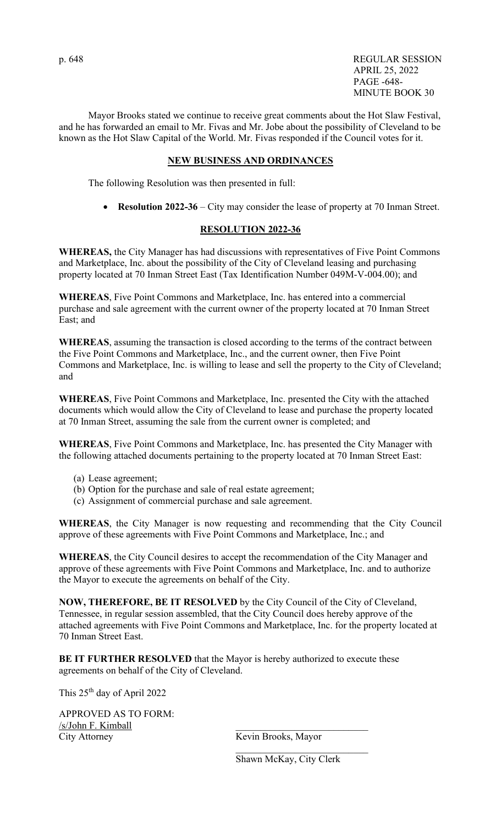Mayor Brooks stated we continue to receive great comments about the Hot Slaw Festival, and he has forwarded an email to Mr. Fivas and Mr. Jobe about the possibility of Cleveland to be known as the Hot Slaw Capital of the World. Mr. Fivas responded if the Council votes for it.

# **NEW BUSINESS AND ORDINANCES**

The following Resolution was then presented in full:

• **Resolution 2022-36** – City may consider the lease of property at 70 Inman Street.

## **RESOLUTION 2022-36**

**WHEREAS,** the City Manager has had discussions with representatives of Five Point Commons and Marketplace, Inc. about the possibility of the City of Cleveland leasing and purchasing property located at 70 Inman Street East (Tax Identification Number 049M-V-004.00); and

**WHEREAS**, Five Point Commons and Marketplace, Inc. has entered into a commercial purchase and sale agreement with the current owner of the property located at 70 Inman Street East; and

**WHEREAS**, assuming the transaction is closed according to the terms of the contract between the Five Point Commons and Marketplace, Inc., and the current owner, then Five Point Commons and Marketplace, Inc. is willing to lease and sell the property to the City of Cleveland; and

**WHEREAS**, Five Point Commons and Marketplace, Inc. presented the City with the attached documents which would allow the City of Cleveland to lease and purchase the property located at 70 Inman Street, assuming the sale from the current owner is completed; and

**WHEREAS**, Five Point Commons and Marketplace, Inc. has presented the City Manager with the following attached documents pertaining to the property located at 70 Inman Street East:

- (a) Lease agreement;
- (b) Option for the purchase and sale of real estate agreement;
- (c) Assignment of commercial purchase and sale agreement.

**WHEREAS**, the City Manager is now requesting and recommending that the City Council approve of these agreements with Five Point Commons and Marketplace, Inc.; and

**WHEREAS**, the City Council desires to accept the recommendation of the City Manager and approve of these agreements with Five Point Commons and Marketplace, Inc. and to authorize the Mayor to execute the agreements on behalf of the City.

**NOW, THEREFORE, BE IT RESOLVED** by the City Council of the City of Cleveland, Tennessee, in regular session assembled, that the City Council does hereby approve of the attached agreements with Five Point Commons and Marketplace, Inc. for the property located at 70 Inman Street East.

**BE IT FURTHER RESOLVED** that the Mayor is hereby authorized to execute these agreements on behalf of the City of Cleveland.

 $\mathcal{L}_\text{max}$  , which is a set of the contract of the contract of the contract of the contract of the contract of the contract of the contract of the contract of the contract of the contract of the contract of the contrac

This 25th day of April 2022

APPROVED AS TO FORM: /s/John F. Kimball City Attorney Kevin Brooks, Mayor

Shawn McKay, City Clerk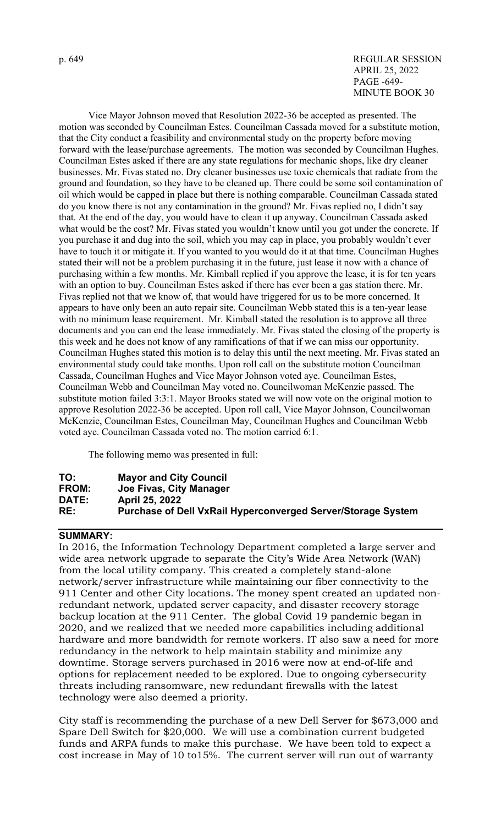#### p. 649 REGULAR SESSION APRIL 25, 2022 PAGE -649- MINUTE BOOK 30

Vice Mayor Johnson moved that Resolution 2022-36 be accepted as presented. The motion was seconded by Councilman Estes. Councilman Cassada moved for a substitute motion, that the City conduct a feasibility and environmental study on the property before moving forward with the lease/purchase agreements. The motion was seconded by Councilman Hughes. Councilman Estes asked if there are any state regulations for mechanic shops, like dry cleaner businesses. Mr. Fivas stated no. Dry cleaner businesses use toxic chemicals that radiate from the ground and foundation, so they have to be cleaned up. There could be some soil contamination of oil which would be capped in place but there is nothing comparable. Councilman Cassada stated do you know there is not any contamination in the ground? Mr. Fivas replied no, I didn't say that. At the end of the day, you would have to clean it up anyway. Councilman Cassada asked what would be the cost? Mr. Fivas stated you wouldn't know until you got under the concrete. If you purchase it and dug into the soil, which you may cap in place, you probably wouldn't ever have to touch it or mitigate it. If you wanted to you would do it at that time. Councilman Hughes stated their will not be a problem purchasing it in the future, just lease it now with a chance of purchasing within a few months. Mr. Kimball replied if you approve the lease, it is for ten years with an option to buy. Councilman Estes asked if there has ever been a gas station there. Mr. Fivas replied not that we know of, that would have triggered for us to be more concerned. It appears to have only been an auto repair site. Councilman Webb stated this is a ten-year lease with no minimum lease requirement. Mr. Kimball stated the resolution is to approve all three documents and you can end the lease immediately. Mr. Fivas stated the closing of the property is this week and he does not know of any ramifications of that if we can miss our opportunity. Councilman Hughes stated this motion is to delay this until the next meeting. Mr. Fivas stated an environmental study could take months. Upon roll call on the substitute motion Councilman Cassada, Councilman Hughes and Vice Mayor Johnson voted aye. Councilman Estes, Councilman Webb and Councilman May voted no. Councilwoman McKenzie passed. The substitute motion failed 3:3:1. Mayor Brooks stated we will now vote on the original motion to approve Resolution 2022-36 be accepted. Upon roll call, Vice Mayor Johnson, Councilwoman McKenzie, Councilman Estes, Councilman May, Councilman Hughes and Councilman Webb voted aye. Councilman Cassada voted no. The motion carried 6:1.

The following memo was presented in full:

| TO:          | <b>Mayor and City Council</b>                                       |
|--------------|---------------------------------------------------------------------|
| FROM:        | Joe Fivas, City Manager                                             |
| <b>DATE:</b> | April 25, 2022                                                      |
| RE:          | <b>Purchase of Dell VxRail Hyperconverged Server/Storage System</b> |

# **SUMMARY:**

In 2016, the Information Technology Department completed a large server and wide area network upgrade to separate the City's Wide Area Network (WAN) from the local utility company. This created a completely stand-alone network/server infrastructure while maintaining our fiber connectivity to the 911 Center and other City locations. The money spent created an updated nonredundant network, updated server capacity, and disaster recovery storage backup location at the 911 Center. The global Covid 19 pandemic began in 2020, and we realized that we needed more capabilities including additional hardware and more bandwidth for remote workers. IT also saw a need for more redundancy in the network to help maintain stability and minimize any downtime. Storage servers purchased in 2016 were now at end-of-life and options for replacement needed to be explored. Due to ongoing cybersecurity threats including ransomware, new redundant firewalls with the latest technology were also deemed a priority.

City staff is recommending the purchase of a new Dell Server for \$673,000 and Spare Dell Switch for \$20,000. We will use a combination current budgeted funds and ARPA funds to make this purchase. We have been told to expect a cost increase in May of 10 to15%. The current server will run out of warranty